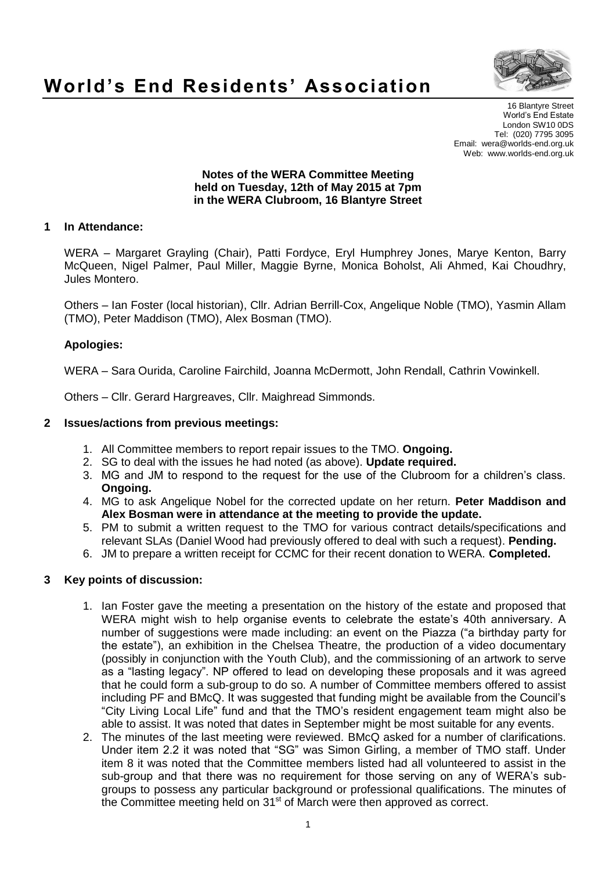

# **World's End Residents' Association**

16 Blantyre Street World's End Estate London SW10 0DS Tel: (020) 7795 3095 Email: wera@worlds-end.org.uk Web: www.worlds-end.org.uk

### **Notes of the WERA Committee Meeting held on Tuesday, 12th of May 2015 at 7pm in the WERA Clubroom, 16 Blantyre Street**

# **1 In Attendance:**

WERA – Margaret Grayling (Chair), Patti Fordyce, Eryl Humphrey Jones, Marye Kenton, Barry McQueen, Nigel Palmer, Paul Miller, Maggie Byrne, Monica Boholst, Ali Ahmed, Kai Choudhry, Jules Montero.

Others – Ian Foster (local historian), Cllr. Adrian Berrill-Cox, Angelique Noble (TMO), Yasmin Allam (TMO), Peter Maddison (TMO), Alex Bosman (TMO).

# **Apologies:**

WERA – Sara Ourida, Caroline Fairchild, Joanna McDermott, John Rendall, Cathrin Vowinkell.

Others – Cllr. Gerard Hargreaves, Cllr. Maighread Simmonds.

# **2 Issues/actions from previous meetings:**

- 1. All Committee members to report repair issues to the TMO. **Ongoing.**
- 2. SG to deal with the issues he had noted (as above). **Update required.**
- 3. MG and JM to respond to the request for the use of the Clubroom for a children's class. **Ongoing.**
- 4. MG to ask Angelique Nobel for the corrected update on her return. **Peter Maddison and Alex Bosman were in attendance at the meeting to provide the update.**
- 5. PM to submit a written request to the TMO for various contract details/specifications and relevant SLAs (Daniel Wood had previously offered to deal with such a request). **Pending.**
- 6. JM to prepare a written receipt for CCMC for their recent donation to WERA. **Completed.**

# **3 Key points of discussion:**

- 1. Ian Foster gave the meeting a presentation on the history of the estate and proposed that WERA might wish to help organise events to celebrate the estate's 40th anniversary. A number of suggestions were made including: an event on the Piazza ("a birthday party for the estate"), an exhibition in the Chelsea Theatre, the production of a video documentary (possibly in conjunction with the Youth Club), and the commissioning of an artwork to serve as a "lasting legacy". NP offered to lead on developing these proposals and it was agreed that he could form a sub-group to do so. A number of Committee members offered to assist including PF and BMcQ. It was suggested that funding might be available from the Council's "City Living Local Life" fund and that the TMO's resident engagement team might also be able to assist. It was noted that dates in September might be most suitable for any events.
- 2. The minutes of the last meeting were reviewed. BMcQ asked for a number of clarifications. Under item 2.2 it was noted that "SG" was Simon Girling, a member of TMO staff. Under item 8 it was noted that the Committee members listed had all volunteered to assist in the sub-group and that there was no requirement for those serving on any of WERA's subgroups to possess any particular background or professional qualifications. The minutes of the Committee meeting held on 31<sup>st</sup> of March were then approved as correct.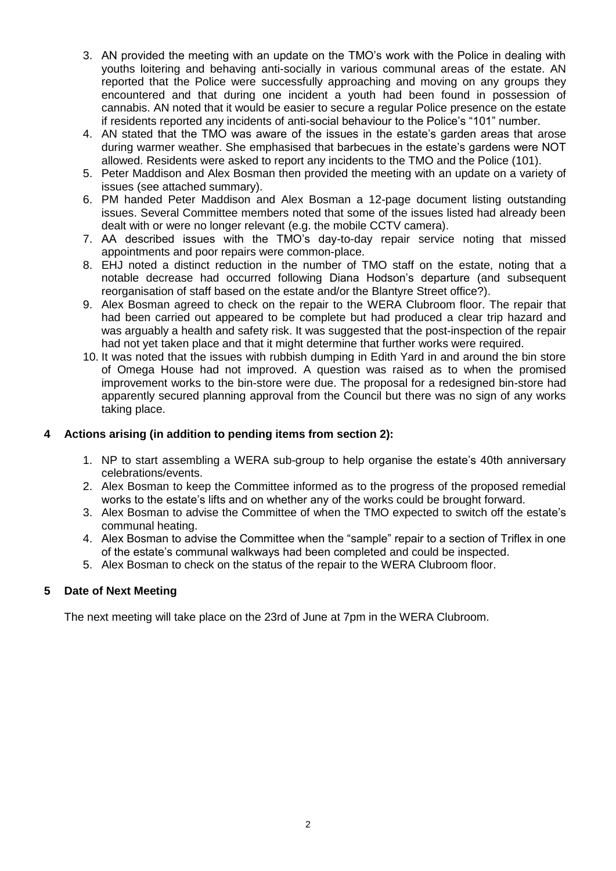- 3. AN provided the meeting with an update on the TMO's work with the Police in dealing with youths loitering and behaving anti-socially in various communal areas of the estate. AN reported that the Police were successfully approaching and moving on any groups they encountered and that during one incident a youth had been found in possession of cannabis. AN noted that it would be easier to secure a regular Police presence on the estate if residents reported any incidents of anti-social behaviour to the Police's "101" number.
- 4. AN stated that the TMO was aware of the issues in the estate's garden areas that arose during warmer weather. She emphasised that barbecues in the estate's gardens were NOT allowed. Residents were asked to report any incidents to the TMO and the Police (101).
- 5. Peter Maddison and Alex Bosman then provided the meeting with an update on a variety of issues (see attached summary).
- 6. PM handed Peter Maddison and Alex Bosman a 12-page document listing outstanding issues. Several Committee members noted that some of the issues listed had already been dealt with or were no longer relevant (e.g. the mobile CCTV camera).
- 7. AA described issues with the TMO's day-to-day repair service noting that missed appointments and poor repairs were common-place.
- 8. EHJ noted a distinct reduction in the number of TMO staff on the estate, noting that a notable decrease had occurred following Diana Hodson's departure (and subsequent reorganisation of staff based on the estate and/or the Blantyre Street office?).
- 9. Alex Bosman agreed to check on the repair to the WERA Clubroom floor. The repair that had been carried out appeared to be complete but had produced a clear trip hazard and was arguably a health and safety risk. It was suggested that the post-inspection of the repair had not yet taken place and that it might determine that further works were required.
- 10. It was noted that the issues with rubbish dumping in Edith Yard in and around the bin store of Omega House had not improved. A question was raised as to when the promised improvement works to the bin-store were due. The proposal for a redesigned bin-store had apparently secured planning approval from the Council but there was no sign of any works taking place.

# **4 Actions arising (in addition to pending items from section 2):**

- 1. NP to start assembling a WERA sub-group to help organise the estate's 40th anniversary celebrations/events.
- 2. Alex Bosman to keep the Committee informed as to the progress of the proposed remedial works to the estate's lifts and on whether any of the works could be brought forward.
- 3. Alex Bosman to advise the Committee of when the TMO expected to switch off the estate's communal heating.
- 4. Alex Bosman to advise the Committee when the "sample" repair to a section of Triflex in one of the estate's communal walkways had been completed and could be inspected.
- 5. Alex Bosman to check on the status of the repair to the WERA Clubroom floor.

### **5 Date of Next Meeting**

The next meeting will take place on the 23rd of June at 7pm in the WERA Clubroom.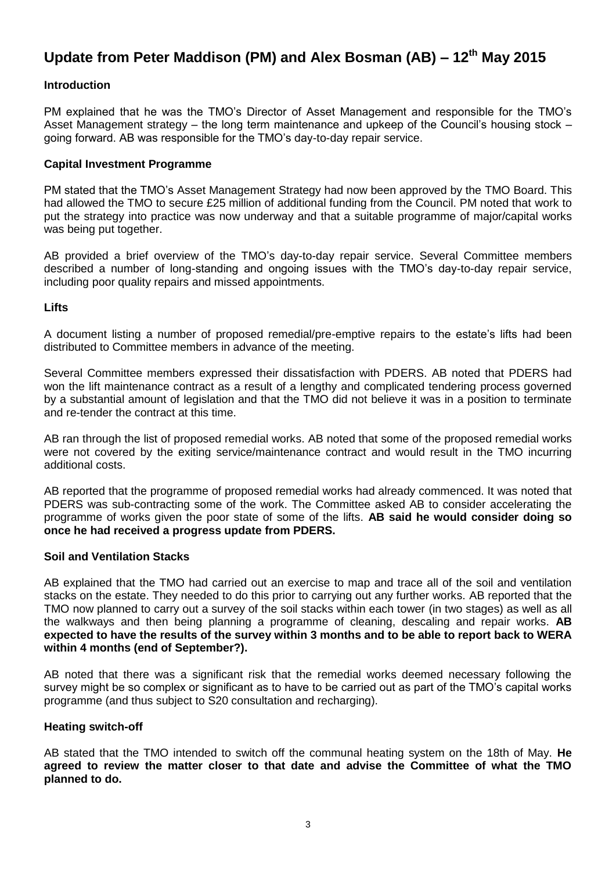# **Update from Peter Maddison (PM) and Alex Bosman (AB) – 12th May 2015**

# **Introduction**

PM explained that he was the TMO's Director of Asset Management and responsible for the TMO's Asset Management strategy – the long term maintenance and upkeep of the Council's housing stock – going forward. AB was responsible for the TMO's day-to-day repair service.

### **Capital Investment Programme**

PM stated that the TMO's Asset Management Strategy had now been approved by the TMO Board. This had allowed the TMO to secure £25 million of additional funding from the Council. PM noted that work to put the strategy into practice was now underway and that a suitable programme of major/capital works was being put together.

AB provided a brief overview of the TMO's day-to-day repair service. Several Committee members described a number of long-standing and ongoing issues with the TMO's day-to-day repair service, including poor quality repairs and missed appointments.

### **Lifts**

A document listing a number of proposed remedial/pre-emptive repairs to the estate's lifts had been distributed to Committee members in advance of the meeting.

Several Committee members expressed their dissatisfaction with PDERS. AB noted that PDERS had won the lift maintenance contract as a result of a lengthy and complicated tendering process governed by a substantial amount of legislation and that the TMO did not believe it was in a position to terminate and re-tender the contract at this time.

AB ran through the list of proposed remedial works. AB noted that some of the proposed remedial works were not covered by the exiting service/maintenance contract and would result in the TMO incurring additional costs.

AB reported that the programme of proposed remedial works had already commenced. It was noted that PDERS was sub-contracting some of the work. The Committee asked AB to consider accelerating the programme of works given the poor state of some of the lifts. **AB said he would consider doing so once he had received a progress update from PDERS.** 

### **Soil and Ventilation Stacks**

AB explained that the TMO had carried out an exercise to map and trace all of the soil and ventilation stacks on the estate. They needed to do this prior to carrying out any further works. AB reported that the TMO now planned to carry out a survey of the soil stacks within each tower (in two stages) as well as all the walkways and then being planning a programme of cleaning, descaling and repair works. **AB expected to have the results of the survey within 3 months and to be able to report back to WERA within 4 months (end of September?).** 

AB noted that there was a significant risk that the remedial works deemed necessary following the survey might be so complex or significant as to have to be carried out as part of the TMO's capital works programme (and thus subject to S20 consultation and recharging).

### **Heating switch-off**

AB stated that the TMO intended to switch off the communal heating system on the 18th of May. **He agreed to review the matter closer to that date and advise the Committee of what the TMO planned to do.**